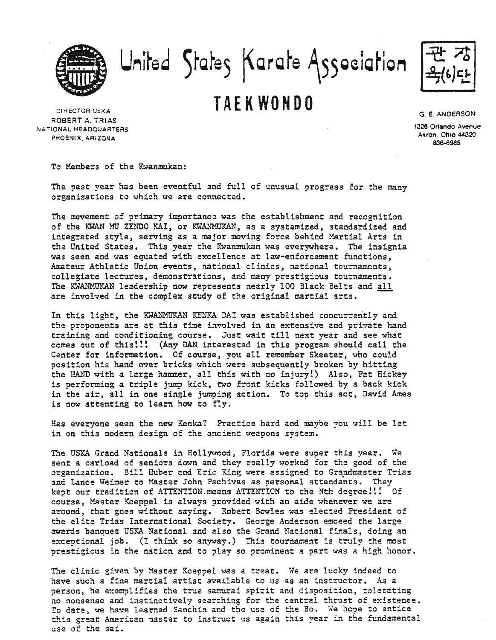United States Karate Association

## DIRECTOR USKA **TAEKWONDO**

ROBERT A. TRIAS NATIONAL HEADQUARTERS PHOENIX. ARIZONA

G. E. ANDERSON

1326 Orlando Avenue Akron. Ohio 44320 836-6985

To Members of the Kwanmukan:

The past year has been eventful and full of unusual progress for the many organizations to which we are connected.

The movement of primary importance was the establishment and recognition of the KWAN MU ZENDO KAI, or KWANMUKAN, as a systemized, standardized and integrated style, serving as a major moving force behind Martial Arts in the United States. This year the Kwanmukan was everywhere. The insignia was seen and was equated with excellence at law-enforcement functions, Amateur Athletic Union events, national clinics, national tournaments, collegiate lectures, demonstrations, and many prestigious tournaments. The KWANMUKAN leadership now represents nearly 100 Black Belts and all are involved in the complex study of the original martial arts.

In this light, the KWANMUKAN KENKA DAI was established concurrently and the proponents are at this time involved in an extensive and private hand training and conditioning course. Just wait till next year and see what comes out of this!!! (Any DAN interested in this program should call the Center for information. Of course, you all remember Skeeter, who could position his hand over bricks which were subsequently broken by hitting the HAND with a large hammer, all this with no injury!) Also, Pat Hickey is performing a triple jump kick, two front kicks followed by a back kick in the air, all in one single jumping action. To top this act, David Ames is now attemting to learn how to fly.

Has everyone seen the new Kenka? Practice hard and maybe you will be let in on this modern design of the ancient weapons system.

The USKA Grand Nationals in Hollywood, Florida were super this year. We sent a carload of seniors down and they really worked for the good of the organization. Bill Huber and Eric King were assigned to Grandmaster Trias and Lance Weimer to Master John Pachivas as personal attendants. They kept our tradition of ATTENTION.means ATTENTION to the Nth degree!!! Of course, Master Koeppel is always provided with an aide whenever we are around, that goes without saying. Robert Bowles was elected President of the elite Trias International Society. George Anderson emceed the large awards banquet USKA National and also the Grand National finals, doing an exceptional job. (I think so anyway.) This tournament is truly the most prestigious in the nation and to play so prominent a part was a high honor.

The clinic given by Master Koeppel was a treat. We are lucky indeed to have such a fine martial artist available to us as an instructor. As a person, he exemplifies the true samurai spirit and disposition, tolerating no nonsense and instinctively searching for the central thrust of existence. To date, we have learned Sanchin and the use of the Bo. We hope to entice this great American master to instruct us again this year in the fundamental use of the sai.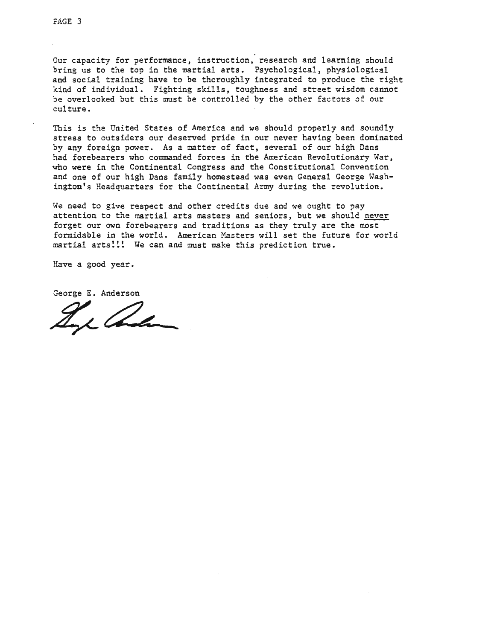Our capacity for performance, instruction, research and learning should bring us to the top in the martial arts. Psychological, physiological and social training have to be thoroughly integrated to produce the right kind of individual. Fighting skills, toughness and street wisdom cannot be overlooked but this must be controlled by the other factors of our culture.

This is the United States of America and we should properly and soundly stress to outsiders our deserved pride in our never having been dominated by any foreign power. As a matter of fact, several of our high Dans had forebearers who commanded forces in the American Revolutionary War, who were in the Continental Congress and the Constitutional Convention and one of our high Dans family homestead was even General George Washington's Headquarters for the Continental Army during the revolution.

We need to give respect and other credits due and we ought to pay attention to the martial arts masters and seniors, but we should never forget our own forebearers and traditions as they truly are the most formidable in the world. American Masters will set the future for world martial arts!!! We can and must make this prediction true.

Have a good year.

George E. Anderson

Ing and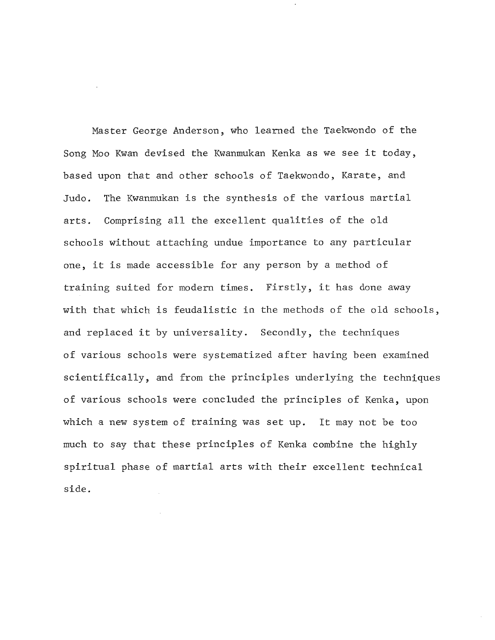Master George Anderson, who learned the Taekwondo of the Song Moo Kwan devised the Kwanmukan Kenka as we see it today, based upon that and other schools of Taekwondo, Karate, and Judo. The Kwanmukan is the synthesis of the various martial arts. Comprising all the excellent qualities of the old schools without attaching undue importance to any particular one, it is made accessible for any person by <sup>a</sup> method of training suited for modern times. Firstly, it has done away with that which is feudalistic in the methods of the old schools, and replaced it by universality. Secondly, the techniques of various schools were systematized after having been examined scientifically, and from the principles underlying the techniques of various schools were concluded the principles of Kenka, upon which <sup>a</sup> new system of training was set up. It may not be too much to say that these principles of Kenka combine the highly spiritual phase of martial arts with their excellent technical side.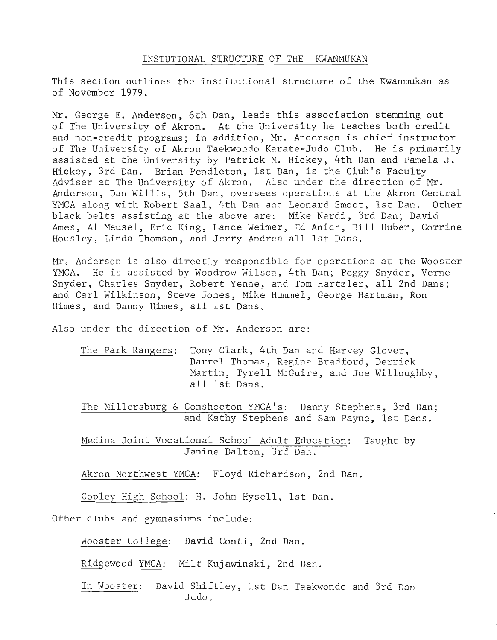## INSTUTIONAL STRUCTURE OF THE KWANMUKAN

This section outlines the institutional structure of the Kwanmukan as of November 1979.

Mr. George E. Anderson, 6th Dan, leads this association stemming out of The University of Akron. At the University he teaches both credit and non-credit programs; in addition, Mr. Anderson is chief instructor of The University of Akron Taekwondo Karate-Judo Club. He is primarily assisted at the University by Patrick M. Hickey, 4th Dan and Pamela J. Hickey, 3rd Dan. Brian Pendleton, 1st Dan, is the Club's Faculty Adviser at The University of Akron. Also under the direction of Mr. Anderson, Dan Willis, 5th Dan, oversees operations at the Akron Central YMCA along with Robert Saal, 4th Dan and Leonard Smoot, 1st Dan. Other black belts assisting at the above are: Mike Nardi, 3rd Dan; David Ames, Al Meusel, Eric King, Lance Weimer, Ed Anich, Bill Huber, Corrine Housley, Linda Thomson, and Jerry Andrea all 1st Dans.

Mr. Anderson is also directly responsible for operations at the Wooster YMCA. He is assisted by Woodrow Wilson, 4th Dan; Peggy Snyder, Verne Snyder, Charles Snyder, Robert Yenne, and Tom Hartzler, all 2nd Dans; and Carl Wilkinson, Steve Jones, Mike Hummel, George Hartman, Ron Himes, and Danny Himes, all 1st Dans.

Also under the direction of Mr. Anderson are:

The Park Rangers: Tony Clark, 4th Dan and Harvey Glover, Darrel Thomas, Regina Bradford, Derrick Martin, Tyrell McGuire, and Joe Willoughby, all 1st Dans.

The Millersburg & Conshocton YMCA's: Danny Stephens, 3rd Dan; and Kathy Stephens and Sam Payne, 1st Dans.

Medina Joint Vocational School Adult Education: Taught by Janine Dalton, 3rd Dan.

Akron Northwest YMCA: Floyd Richardson, 2nd Dan.

Copley High School: H. John Hysell, 1st Dan.

Other clubs and gymnasiums include:

Wooster College: David Conti, 2nd Dan.

Ridgewood YMCA: Milt Kujawinski, 2nd Dan.

In Wooster: David Shiftley, 1st Dan Taekwondo and 3rd Dan Judo.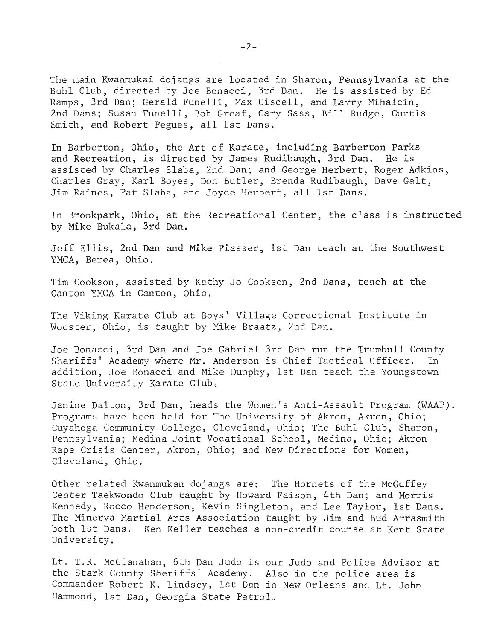The main Kwanmukai dojangs are located in Sharon, Pennsylvania at the Buhl Club, directed by Joe Bonacci, 3rd Dan. He is assisted by Ed Ramps, 3rd Dan; Gerald Funelli, Max Ciscell, and Larry Mihalcin, 2nd Dans; Susan Funelli, Bob Greaf, Gary Sass, Bill Rudge, Curtis Smith, and Robert Pegues, all 1st Dans.

In Barberton, Ohio, the Art of Karate, including Barberton Parks and Recreation, is directed by James Rudibaugh, 3rd Dan. He is assisted by Charles Slaba, 2nd Dan; and George Herbert, Roger Adkins, Charles Gray, Karl Boyes, Don Butler, Brenda Rudibaugh, Dave Galt, Jim Raines, Pat Slaba, and Joyce Herbert, all 1st Dans.

In Brookpark, Ohio, at the Recreational Center, the class is instructed by Mike Bukala, 3rd Dan.

Jeff Ellis, 2nd Dan and Mike Piasser, 1st Dan teach at the Southwest YMCA, Berea, Ohio.

Tim Cookson, assisted by Kathy Jo Cookson, 2nd Dans, teach at the Canton YMCA in Canton, Ohio.

The Viking Karate Club at Boys' Village Correctional Institute in Wooster, Ohio, is taught by Mike Braatz, 2nd Dan.

Joe Bonacci, 3rd Dan and Joe Gabriel 3rd Dan run the Trumbull County Sheriffs' Academy where Mr. Anderson is Chief Tactical Officer. In addition, Joe Bonacci and Mike Dunphy, 1st Dan teach the Youngstown State University Karate Club.

Janine Dalton, 3rd Dan, heads the Women's Anti-Assault Program (WAAP). Programs have been held for The University of Akron, Akron, Ohio; Cuyahoga Community College, Cleveland, Ohio; The Buhl Club, Sharon, Pennsylvania; Medina Joint Vocational School, Medina, Ohio; Akron Rape Crisis Center, Akron, Ohio; and New Directions for Women, Cleveland, Ohio.

Other related Kwanmukan dojangs are: The Hornets of the McGuffey Center Taekwondo Club taught by Howard Faison, 4th Dan; and Morris Kennedy, Rocco Henderson, Kevin Singleton, and Lee Taylor, 1st Dans. The Minerva Martial Arts Association taught by Jim and Bud Arrasmith both 1st Dans. Ken Keller teaches a non-credit course at Kent State University.

Lt. T.R. McClanahan, 6th Dan Judo is our Judo and Police Advisor at the Stark County Sheriffs' Academy. Also in the police area is Commander Robert K. Lindsey, 1st Dan in New Orleans and Lt. John Hammond, 1st Dan, Georgia State Patrol.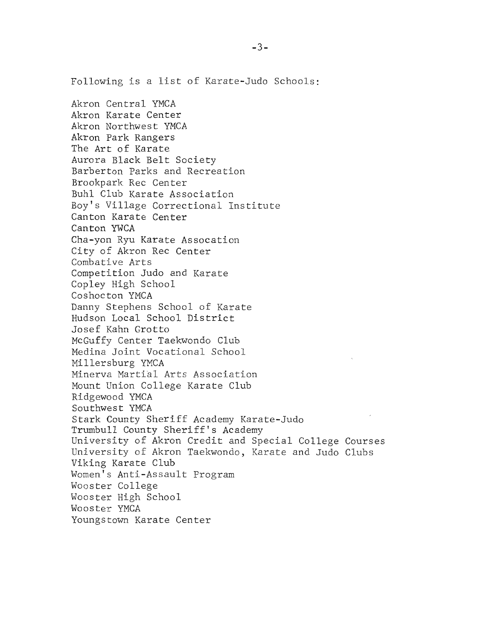Akron Central YMCA Akron Karate Center Akron Northwest YMCA Akron Park Rangers The Art of Karate Aurora Black Belt Society Barberton Parks and Recreation Brookpark Rec Center Buhl Club Karate Association Boy's Village Correctional Institute Canton Karate Center Canton YWCA Cha-yon Ryu Karate Assocation City of Akron Rec Center Combative Arts Competition Judo and Karate Copley High School Coshocton YMCA Danny Stephens School of Karate Hudson Local School District Josef Kahn Grotto McGuffy Center Taekwondo Club Medina Joint Vocational School Millersburg YMCA Minerva Martial Arts Association Mount Union College Karate Club Ridgewood YMCA Southwest YMCA Stark County Sheriff Academy Karate-Judo Trumbull County Sheriff's Academy University of Akron Credit and Special College Courses University of Akron Taekwondo, Karate and Judo Clubs Viking Karate Club Women's Anti-Assault Program Wooster College Wooster High School Wooster YMCA Youngstown Karate Center

Following is <sup>a</sup> list of Karate-Judo Schools: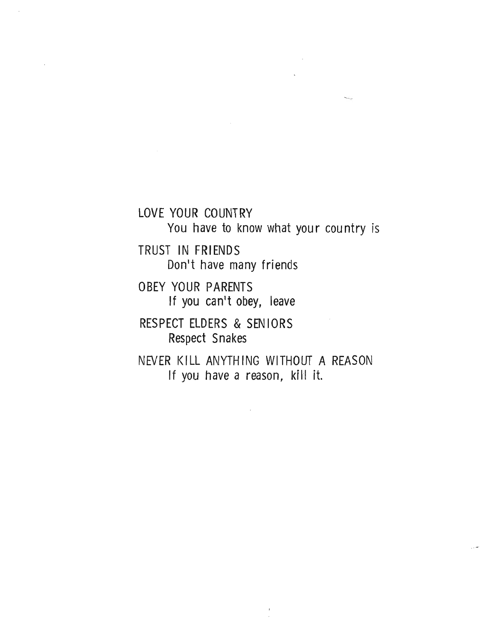LOVE YOUR COUNTRY

You have to know what your country is

TRUST IN FRIENDS Don't have many friends

OBEY YOUR PARENTS If you can't obey, leave

RESPECT ELDERS & SEN IORS Respect Snakes

NEVER KILL ANYTHING WITHOUT A REASON If you have a reason, kill it.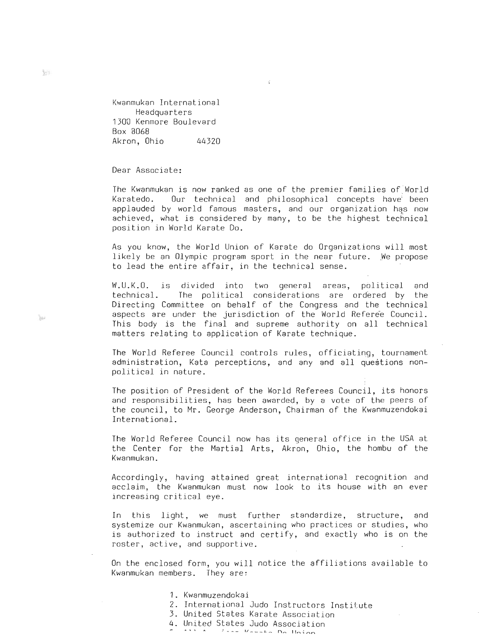Kwanmukan International Headquarters 1300 Kenmore Boulevard Box 8068 Akron, Ohio 44320

Dear Associate:

The Kwanmukan is now ranked as one of the premier families of:World Karatedo. Our technical and philosophical concepts have' been applauded by world famous masters, and our organization has now achieved, what is considered by many, to be the highest technical position in World Karate Do.

k.

As you know, the World Union of Karate do Organizations will most likely be an Olympic program sport in the near future. We propose to lead the entire affair, in the technical sense.

W.U.K.O. is divided into two general areas, political and technical. The political considerations are ordered by the Directing Committee on behalf of the Congress and the technical aspects are under the jurisdiction of the World Referee Council. This body is the final and supreme authority on all technical matters relating to application of Karate technique.

The World Referee Council controls rules, officiating, tournament administration, Kata perceptions, and any and all questions nonpolitical in nature.

The position of President of the World Referees Council, its honors and responsibilities, has been awarded, by a vote of the peers of the council, to Mr. George Anderson, Chairman of the Kwanmuzendokai International.

The World Referee Council now has its general office in the USA at the Center for the Martial Arts, Akron, Ohio, the hombu of the Kwanmukan.

Accordingly, having attained great international recognition and acclaim, the Kwanmukan must now look to its house with an ever increasing critical eye.

In this light, we must further standardize, structure, and systemize our Kwanmukan, ascertaining who practices or studies, who is authorized to instruct and certify, and exactly who is on the roster, active, and supportive.

On the enclosed form, you will notice the affiliations available to Kwanmukan members. They are:

- 1. Kwanmuzendokai
- 2. International Judo Instructors Institute
- 3. United States Karate Association
	- 4. United States Judo Association

园头

 $384$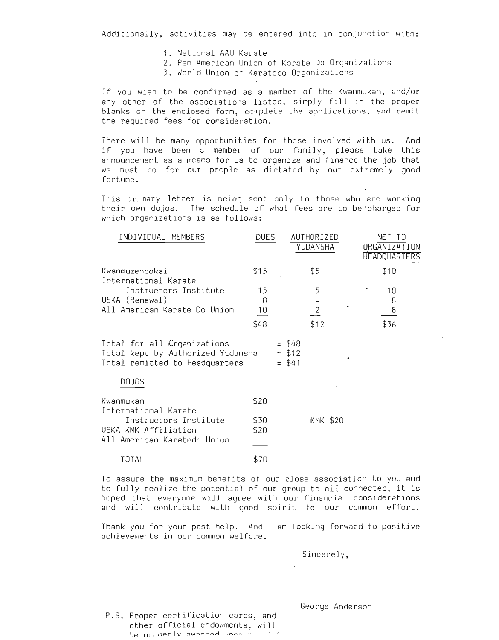Additionally, activities may be entered into in conjunction with:

- 1. National AAU Karate
- 2. Pan American Union of Karate Do Organizations
	- 3. World Union of Karatedo Organizations

If you wish to be confirmed as a member of the Kwanmukan, and/or any other of the associations listed, simply fill in the proper blanks on the enclosed form, complete the applications, and remit the required fees for consideration.

There will be many opportunities for those involved with us. And if you have been <sup>a</sup> member of our family, please take this announcement as a means for us to organize and finance the job that we must do for our people as dictated by our extremely good fortune.

This primary letter is being sent only to those who are working their own dojos. The schedule of what fees are to be "charged for which organizations is as follows:

| INDIVIDUAL MEMBERS                                                                                 | <b>DUES</b>                       |     |                          | AUTHORIZED<br>YUDANSHA     |    | NET TO<br>ORGANIZATION<br><b>HEADQUARTERS</b> |
|----------------------------------------------------------------------------------------------------|-----------------------------------|-----|--------------------------|----------------------------|----|-----------------------------------------------|
| Kwanmuzendokai<br>International Karate                                                             | \$15                              |     |                          | \$5                        |    | \$10                                          |
| Instructors Institute<br>USKA (Renewal)<br>All American Karate Do Union                            | 15<br>8<br>$\frac{10}{1}$<br>\$48 |     |                          | 5<br>$\frac{2}{1}$<br>\$12 |    | 10<br>8<br>8<br>\$36                          |
| Total for all Organizations<br>Total kept by Authorized Yudansha<br>Total remitted to Headquarters |                                   | $=$ | \$48<br>$=$ \$12<br>\$41 |                            | F. |                                               |
| <b>DOJOS</b>                                                                                       |                                   |     |                          |                            |    |                                               |
| Kwanmukan<br>International Karate                                                                  | \$20                              |     |                          |                            |    |                                               |
| Instructors Institute<br>USKA KMK Affiliation<br>All American Karatedo Union                       | \$30<br>\$20                      |     |                          | KMK \$20                   |    |                                               |
| TOTAL                                                                                              | \$70                              |     |                          |                            |    |                                               |

To assure the maximum benefits of our close association to you and to fully realize the potential of our group to all connected, it is hoped that everyone will agree with our financial considerations and will contribute with good spirit to our common effort.

Thank you for your past help. And I am looking forward to positive achievements in our common welfare.

Sincerely,

P.S. Proper certification cards, and other official endowments, will **hp nrnnprlv** ~IAI~T"~O,-t **,.,-.. ............** \_~ \_\_ :.\_.L George Anderson